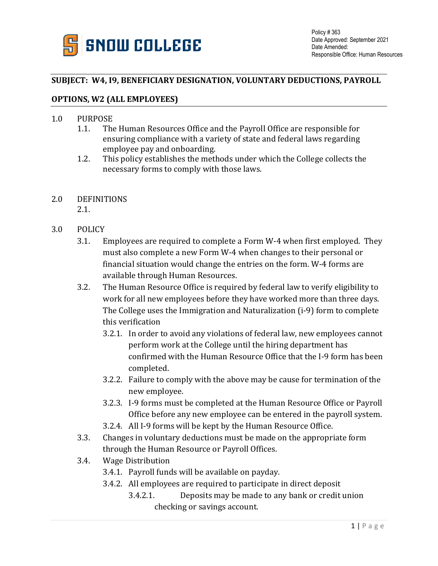

## **SUBJECT: W4, I9, BENEFICIARY DESIGNATION, VOLUNTARY DEDUCTIONS, PAYROLL**

## **OPTIONS, W2 (ALL EMPLOYEES)**

## 1.0 PURPOSE<br>1.1. The

- The Human Resources Office and the Payroll Office are responsible for ensuring compliance with a variety of state and federal laws regarding employee pay and onboarding.
- 1.2. This policy establishes the methods under which the College collects the necessary forms to comply with those laws.

## 2.0 DEFINITIONS

- 2.1.
- 3.0 POLICY
	- 3.1. Employees are required to complete a Form W-4 when first employed. They must also complete a new Form W-4 when changes to their personal or financial situation would change the entries on the form. W-4 forms are available through Human Resources.
	- 3.2. The Human Resource Office is required by federal law to verify eligibility to work for all new employees before they have worked more than three days. The College uses the Immigration and Naturalization (i-9) form to complete this verification
		- 3.2.1. In order to avoid any violations of federal law, new employees cannot perform work at the College until the hiring department has confirmed with the Human Resource Office that the I-9 form has been completed.
		- 3.2.2. Failure to comply with the above may be cause for termination of the new employee.
		- 3.2.3. I-9 forms must be completed at the Human Resource Office or Payroll Office before any new employee can be entered in the payroll system.
		- 3.2.4. All I-9 forms will be kept by the Human Resource Office.
	- 3.3. Changes in voluntary deductions must be made on the appropriate form through the Human Resource or Payroll Offices.
	- 3.4. Wage Distribution
		- 3.4.1. Payroll funds will be available on payday.
		- 3.4.2. All employees are required to participate in direct deposit
			- 3.4.2.1. Deposits may be made to any bank or credit union checking or savings account.